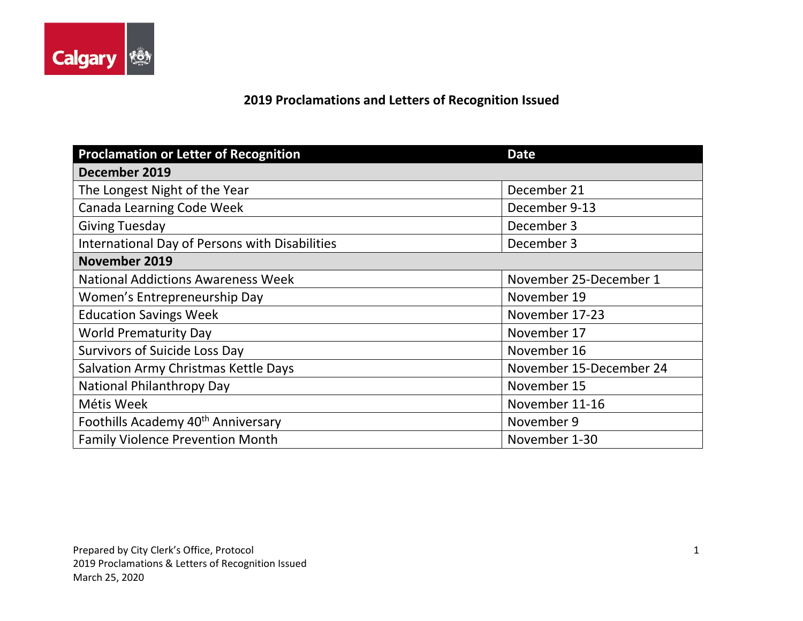

## **2019 Proclamations and Letters of Recognition Issued**

| <b>Proclamation or Letter of Recognition</b>   | <b>Date</b>             |
|------------------------------------------------|-------------------------|
| December 2019                                  |                         |
| The Longest Night of the Year                  | December 21             |
| Canada Learning Code Week                      | December 9-13           |
| <b>Giving Tuesday</b>                          | December 3              |
| International Day of Persons with Disabilities | December 3              |
| November 2019                                  |                         |
| <b>National Addictions Awareness Week</b>      | November 25-December 1  |
| Women's Entrepreneurship Day                   | November 19             |
| <b>Education Savings Week</b>                  | November 17-23          |
| <b>World Prematurity Day</b>                   | November 17             |
| <b>Survivors of Suicide Loss Day</b>           | November 16             |
| Salvation Army Christmas Kettle Days           | November 15-December 24 |
| National Philanthropy Day                      | November 15             |
| Métis Week                                     | November 11-16          |
| Foothills Academy 40 <sup>th</sup> Anniversary | November 9              |
| <b>Family Violence Prevention Month</b>        | November 1-30           |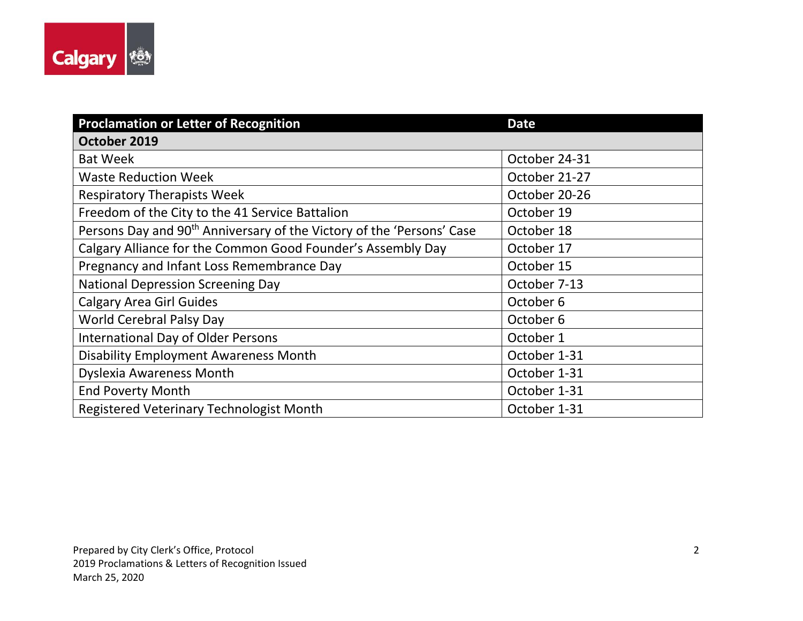

| <b>Proclamation or Letter of Recognition</b>                                      | <b>Date</b>   |
|-----------------------------------------------------------------------------------|---------------|
| October 2019                                                                      |               |
| <b>Bat Week</b>                                                                   | October 24-31 |
| <b>Waste Reduction Week</b>                                                       | October 21-27 |
| <b>Respiratory Therapists Week</b>                                                | October 20-26 |
| Freedom of the City to the 41 Service Battalion                                   | October 19    |
| Persons Day and 90 <sup>th</sup> Anniversary of the Victory of the 'Persons' Case | October 18    |
| Calgary Alliance for the Common Good Founder's Assembly Day                       | October 17    |
| Pregnancy and Infant Loss Remembrance Day                                         | October 15    |
| <b>National Depression Screening Day</b>                                          | October 7-13  |
| <b>Calgary Area Girl Guides</b>                                                   | October 6     |
| World Cerebral Palsy Day                                                          | October 6     |
| <b>International Day of Older Persons</b>                                         | October 1     |
| <b>Disability Employment Awareness Month</b>                                      | October 1-31  |
| <b>Dyslexia Awareness Month</b>                                                   | October 1-31  |
| <b>End Poverty Month</b>                                                          | October 1-31  |
| Registered Veterinary Technologist Month                                          | October 1-31  |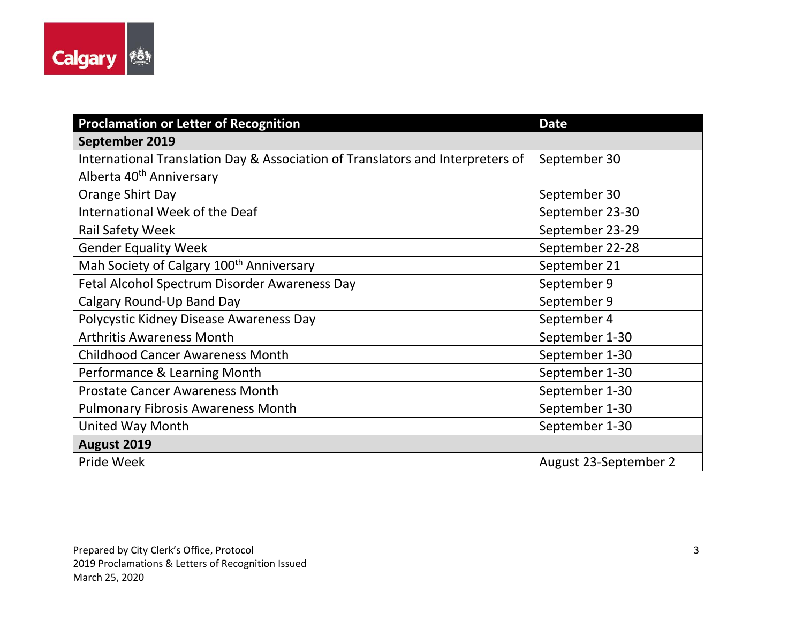

| <b>Proclamation or Letter of Recognition</b>                                   | <b>Date</b>           |
|--------------------------------------------------------------------------------|-----------------------|
| September 2019                                                                 |                       |
| International Translation Day & Association of Translators and Interpreters of | September 30          |
| Alberta 40 <sup>th</sup> Anniversary                                           |                       |
| Orange Shirt Day                                                               | September 30          |
| International Week of the Deaf                                                 | September 23-30       |
| <b>Rail Safety Week</b>                                                        | September 23-29       |
| <b>Gender Equality Week</b>                                                    | September 22-28       |
| Mah Society of Calgary 100 <sup>th</sup> Anniversary                           | September 21          |
| Fetal Alcohol Spectrum Disorder Awareness Day                                  | September 9           |
| Calgary Round-Up Band Day                                                      | September 9           |
| Polycystic Kidney Disease Awareness Day                                        | September 4           |
| <b>Arthritis Awareness Month</b>                                               | September 1-30        |
| <b>Childhood Cancer Awareness Month</b>                                        | September 1-30        |
| Performance & Learning Month                                                   | September 1-30        |
| <b>Prostate Cancer Awareness Month</b>                                         | September 1-30        |
| <b>Pulmonary Fibrosis Awareness Month</b>                                      | September 1-30        |
| <b>United Way Month</b>                                                        | September 1-30        |
| August 2019                                                                    |                       |
| Pride Week                                                                     | August 23-September 2 |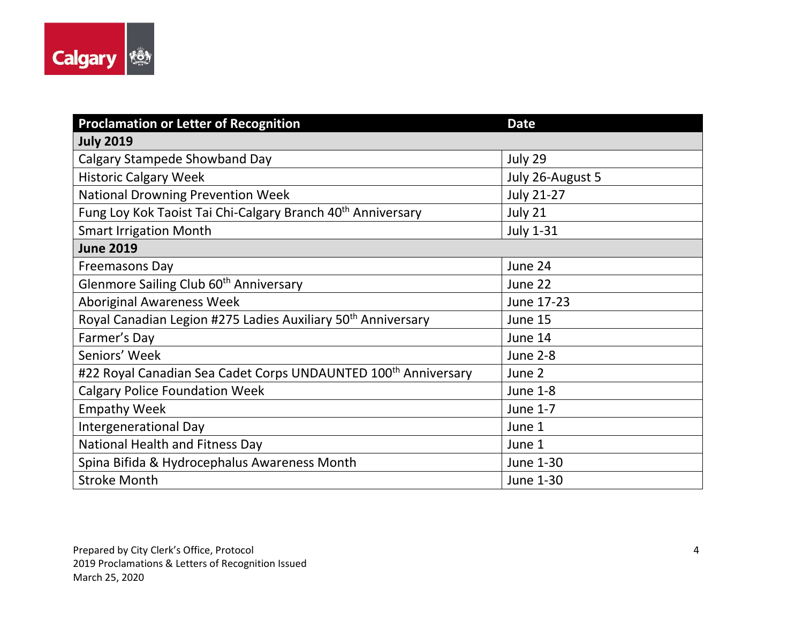

| <b>Proclamation or Letter of Recognition</b>                               | <b>Date</b>       |
|----------------------------------------------------------------------------|-------------------|
| <b>July 2019</b>                                                           |                   |
| <b>Calgary Stampede Showband Day</b>                                       | July 29           |
| <b>Historic Calgary Week</b>                                               | July 26-August 5  |
| <b>National Drowning Prevention Week</b>                                   | <b>July 21-27</b> |
| Fung Loy Kok Taoist Tai Chi-Calgary Branch 40 <sup>th</sup> Anniversary    | July 21           |
| <b>Smart Irrigation Month</b>                                              | <b>July 1-31</b>  |
| <b>June 2019</b>                                                           |                   |
| Freemasons Day                                                             | June 24           |
| Glenmore Sailing Club 60 <sup>th</sup> Anniversary                         | June 22           |
| <b>Aboriginal Awareness Week</b>                                           | June 17-23        |
| Royal Canadian Legion #275 Ladies Auxiliary 50 <sup>th</sup> Anniversary   | June 15           |
| Farmer's Day                                                               | June 14           |
| Seniors' Week                                                              | <b>June 2-8</b>   |
| #22 Royal Canadian Sea Cadet Corps UNDAUNTED 100 <sup>th</sup> Anniversary | June 2            |
| <b>Calgary Police Foundation Week</b>                                      | <b>June 1-8</b>   |
| <b>Empathy Week</b>                                                        | June 1-7          |
| Intergenerational Day                                                      | June 1            |
| National Health and Fitness Day                                            | June 1            |
| Spina Bifida & Hydrocephalus Awareness Month                               | June 1-30         |
| <b>Stroke Month</b>                                                        | June 1-30         |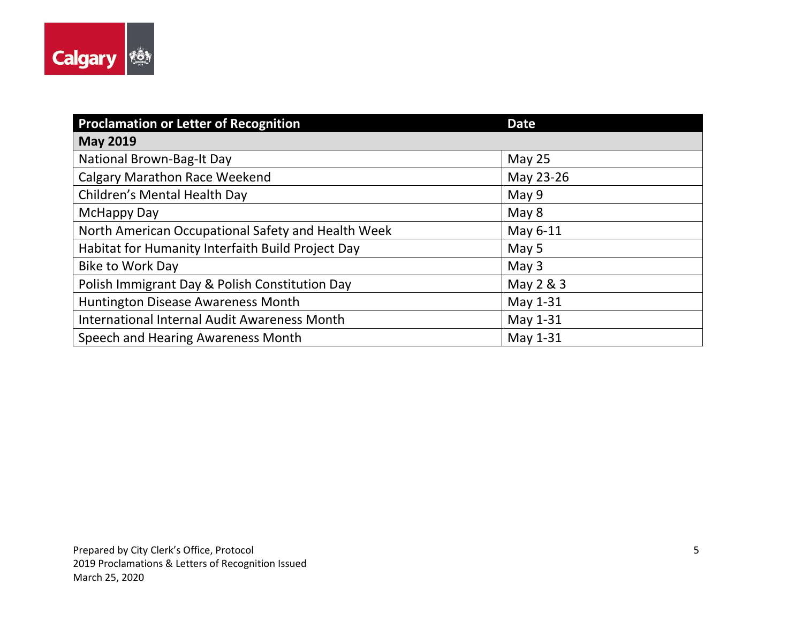

| <b>Proclamation or Letter of Recognition</b>       | <b>Date</b> |
|----------------------------------------------------|-------------|
| <b>May 2019</b>                                    |             |
| National Brown-Bag-It Day                          | May $25$    |
| <b>Calgary Marathon Race Weekend</b>               | May 23-26   |
| Children's Mental Health Day                       | May 9       |
| <b>McHappy Day</b>                                 | May 8       |
| North American Occupational Safety and Health Week | May 6-11    |
| Habitat for Humanity Interfaith Build Project Day  | May 5       |
| <b>Bike to Work Day</b>                            | May $3$     |
| Polish Immigrant Day & Polish Constitution Day     | May $2 & 3$ |
| Huntington Disease Awareness Month                 | May 1-31    |
| International Internal Audit Awareness Month       | May 1-31    |
| Speech and Hearing Awareness Month                 | May 1-31    |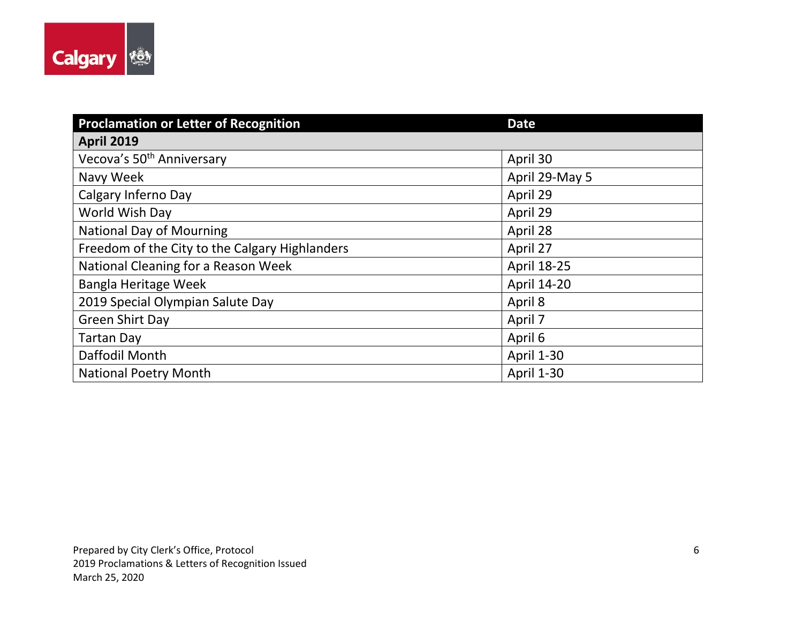

| <b>Proclamation or Letter of Recognition</b>   | <b>Date</b>        |
|------------------------------------------------|--------------------|
| <b>April 2019</b>                              |                    |
| Vecova's 50 <sup>th</sup> Anniversary          | April 30           |
| Navy Week                                      | April 29-May 5     |
| Calgary Inferno Day                            | April 29           |
| World Wish Day                                 | April 29           |
| <b>National Day of Mourning</b>                | April 28           |
| Freedom of the City to the Calgary Highlanders | April 27           |
| National Cleaning for a Reason Week            | April 18-25        |
| Bangla Heritage Week                           | <b>April 14-20</b> |
| 2019 Special Olympian Salute Day               | April 8            |
| <b>Green Shirt Day</b>                         | April 7            |
| <b>Tartan Day</b>                              | April 6            |
| Daffodil Month                                 | <b>April 1-30</b>  |
| <b>National Poetry Month</b>                   | <b>April 1-30</b>  |